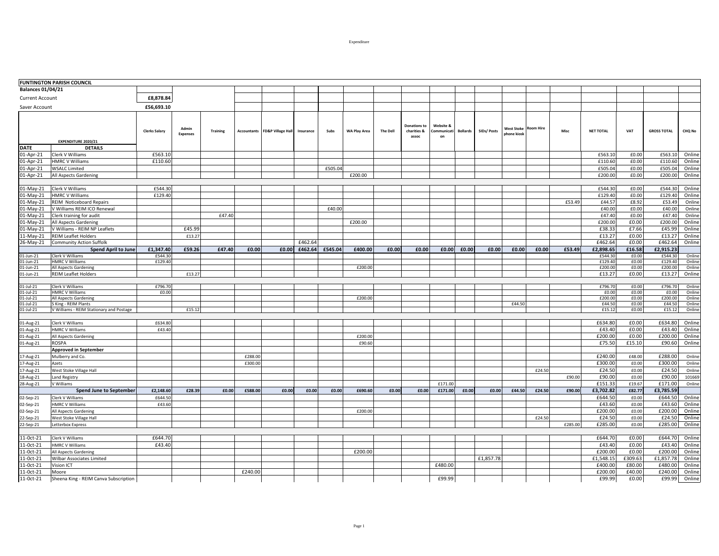|                          | <b>FUNTINGTON PARISH COUNCIL</b>                       |                      |                          |                 |                    |                              |           |         |              |                 |                                      |                               |                 |             |                           |                  |         |                  |                |                    |                  |
|--------------------------|--------------------------------------------------------|----------------------|--------------------------|-----------------|--------------------|------------------------------|-----------|---------|--------------|-----------------|--------------------------------------|-------------------------------|-----------------|-------------|---------------------------|------------------|---------|------------------|----------------|--------------------|------------------|
| <b>Balances 01/04/21</b> |                                                        |                      |                          |                 |                    |                              |           |         |              |                 |                                      |                               |                 |             |                           |                  |         |                  |                |                    |                  |
| <b>Current Account</b>   |                                                        | £8,878.84            |                          |                 |                    |                              |           |         |              |                 |                                      |                               |                 |             |                           |                  |         |                  |                |                    |                  |
| Saver Account            |                                                        | £56,693.10           |                          |                 |                    |                              |           |         |              |                 |                                      |                               |                 |             |                           |                  |         |                  |                |                    |                  |
|                          | <b>EXPENDITURE 2020/21</b>                             | <b>Clerks Salary</b> | Admin<br><b>Expenses</b> | <b>Training</b> | <b>Accountants</b> | <b>FD&amp;P Village Hall</b> | Insurance | Subs    | WA Play Area | <b>The Dell</b> | Donations to<br>charities &<br>assoc | Website 8<br>ommunicati<br>on | <b>Bollards</b> | SIDs/ Posts | West Stoke<br>phone kiosł | <b>Room Hire</b> | Misc    | <b>NET TOTAL</b> | VAT            | <b>GROSS TOTAL</b> | <b>CHQ No</b>    |
| DATE                     | <b>DETAILS</b>                                         |                      |                          |                 |                    |                              |           |         |              |                 |                                      |                               |                 |             |                           |                  |         |                  |                |                    |                  |
| 01-Apr-21                | Clerk V Williams                                       | £563.10              |                          |                 |                    |                              |           |         |              |                 |                                      |                               |                 |             |                           |                  |         | £563.10          | £0.00          | £563.10            | Online           |
| 01-Apr-21                | <b>HMRC V Williams</b>                                 | £110.60              |                          |                 |                    |                              |           |         |              |                 |                                      |                               |                 |             |                           |                  |         | £110.60          | £0.00          | £110.60            | Online           |
| 01-Apr-21                | <b>WSALC Limited</b>                                   |                      |                          |                 |                    |                              |           | £505.04 |              |                 |                                      |                               |                 |             |                           |                  |         | £505.04          | £0.00          | £505.04            | Online           |
| 01-Apr-21                | All Aspects Gardening                                  |                      |                          |                 |                    |                              |           |         | £200.00      |                 |                                      |                               |                 |             |                           |                  |         | £200.00          | £0.00          | £200.00            | Online           |
|                          |                                                        | £544.30              |                          |                 |                    |                              |           |         |              |                 |                                      |                               |                 |             |                           |                  |         | £544.30          | £0.00          | £544.30            | Online           |
| 01-May-21<br>01-May-21   | Clerk V Williams                                       | £129.40              |                          |                 |                    |                              |           |         |              |                 |                                      |                               |                 |             |                           |                  |         | £129.40          | £0.00          | £129.40            | Online           |
|                          | <b>HMRC V Williams</b>                                 |                      |                          |                 |                    |                              |           |         |              |                 |                                      |                               |                 |             |                           |                  | £53.49  | £44.57           | £8.92          |                    |                  |
| 01-May-21                | <b>REIM Noticeboard Repairs</b>                        |                      |                          |                 |                    |                              |           |         |              |                 |                                      |                               |                 |             |                           |                  |         | £40.00           | £0.00          | £53.49<br>£40.00   | Online           |
| 01-May-21                | V Williams REIM ICO Renewal                            |                      |                          | £47.40          |                    |                              |           | £40.00  |              |                 |                                      |                               |                 |             |                           |                  |         | £47.40           | £0.00          |                    | Online<br>Online |
| 01-May-21<br>01-May-21   | Clerk training for audit                               |                      |                          |                 |                    |                              |           |         | £200.00      |                 |                                      |                               |                 |             |                           |                  |         | £200.00          | £0.00          | £47.40<br>£200.00  | Online           |
| 01-May-21                | All Aspects Gardening<br>V Williams - REIM NP Leaflets |                      | £45.99                   |                 |                    |                              |           |         |              |                 |                                      |                               |                 |             |                           |                  |         | £38.33           | £7.66          | £45.99             | Online           |
| 11-May-21                | <b>REIM Leaflet Holders</b>                            |                      | £13.27                   |                 |                    |                              |           |         |              |                 |                                      |                               |                 |             |                           |                  |         | £13.27           | £0.00          | £13.27             | Online           |
| 26-May-21                | <b>Community Action Suffolk</b>                        |                      |                          |                 |                    |                              | £462.64   |         |              |                 |                                      |                               |                 |             |                           |                  |         | £462.64          | £0.00          | £462.64            | Online           |
|                          | <b>Spend April to June</b>                             | £1,347.40            | £59.26                   | £47.40          | £0.00              | £0.00                        | £462.64   | £545.04 | £400.00      | £0.00           | £0.00                                | £0.00                         | £0.00           | £0.00       | £0.00                     | £0.00            | £53.49  | £2,898.65        | £16.58         | £2,915.23          |                  |
| 01-Jun-21                | Clerk V Williams                                       | £544.30              |                          |                 |                    |                              |           |         |              |                 |                                      |                               |                 |             |                           |                  |         | £544.30          | £0.00          | £544.30            | Online           |
| 01-Jun-21                | <b>HMRC V Williams</b>                                 | £129.40              |                          |                 |                    |                              |           |         |              |                 |                                      |                               |                 |             |                           |                  |         | £129.40          | £0.00          | £129.40            | Online           |
| 01-Jun-21                | All Aspects Gardening                                  |                      |                          |                 |                    |                              |           |         | £200.0       |                 |                                      |                               |                 |             |                           |                  |         | £200.00          | £0.00          | £200.00            | Online           |
| 01-Jun-21                | <b>REIM Leaflet Holders</b>                            |                      | £13.27                   |                 |                    |                              |           |         |              |                 |                                      |                               |                 |             |                           |                  |         | £13.27           | £0.00          | £13.27             | Online           |
|                          |                                                        |                      |                          |                 |                    |                              |           |         |              |                 |                                      |                               |                 |             |                           |                  |         |                  |                |                    |                  |
| 01-Jul-21                | Clerk V Williams                                       | £796.70              |                          |                 |                    |                              |           |         |              |                 |                                      |                               |                 |             |                           |                  |         | £796.70          | £0.00          | £796.70            | Online           |
| 01-Jul-21<br>01-Jul-21   | <b>HMRC V Williams</b><br>All Aspects Gardening        | £0.00                |                          |                 |                    |                              |           |         | £200.00      |                 |                                      |                               |                 |             |                           |                  |         | £0.00<br>£200.00 | £0.00<br>£0.00 | £0.00<br>£200.00   | Online<br>Online |
| 01-Jul-21                | S King - REIM Plants                                   |                      |                          |                 |                    |                              |           |         |              |                 |                                      |                               |                 |             | £44.50                    |                  |         | £44.50           | £0.00          | £44.50             | Online           |
| 01-Jul-21                | V Williams - REIM Stationary and Postage               |                      | £15.12                   |                 |                    |                              |           |         |              |                 |                                      |                               |                 |             |                           |                  |         | £15.12           | £0.00          | £15.12             | Online           |
|                          |                                                        |                      |                          |                 |                    |                              |           |         |              |                 |                                      |                               |                 |             |                           |                  |         |                  |                |                    |                  |
| 01-Aug-21                | Clerk V Williams                                       | £634.80              |                          |                 |                    |                              |           |         |              |                 |                                      |                               |                 |             |                           |                  |         | £634.80          | £0.00          | £634.80            | Online           |
| 01-Aug-21                | <b>HMRC V Williams</b>                                 | £43.40               |                          |                 |                    |                              |           |         |              |                 |                                      |                               |                 |             |                           |                  |         | £43.40           | £0.00          | £43.40             | Online           |
| 01-Aug-21                | All Aspects Gardening                                  |                      |                          |                 |                    |                              |           |         | £200.00      |                 |                                      |                               |                 |             |                           |                  |         | £200.00          | £0.00          | £200.00            | Online           |
| 01-Aug-21                | <b>ROSPA</b>                                           |                      |                          |                 |                    |                              |           |         | £90.60       |                 |                                      |                               |                 |             |                           |                  |         | £75.50           | £15.10         | £90.60             | Online           |
|                          | <b>Approved in September</b>                           |                      |                          |                 |                    |                              |           |         |              |                 |                                      |                               |                 |             |                           |                  |         |                  |                |                    |                  |
| 17-Aug-21                | Mulberry and Co.                                       |                      |                          |                 | £288.00            |                              |           |         |              |                 |                                      |                               |                 |             |                           |                  |         | £240.00          | £48.00         | £288.00            | Online           |
| 17-Aug-21                | Azets                                                  |                      |                          |                 | £300.00            |                              |           |         |              |                 |                                      |                               |                 |             |                           |                  |         | £300.00          | £0.00          | £300.00            | Online           |
| 17-Aug-21                | West Stoke Village Hall                                |                      |                          |                 |                    |                              |           |         |              |                 |                                      |                               |                 |             |                           | £24.50           |         | £24.50           | £0.00          | £24.50             | Online           |
| 18-Aug-21                | <b>Land Registry</b>                                   |                      |                          |                 |                    |                              |           |         |              |                 |                                      |                               |                 |             |                           |                  | £90.00  | £90.00           | £0.00          | £90.00             | 101669           |
| 28-Aug-21                | V Williams                                             |                      |                          |                 |                    |                              |           |         |              |                 |                                      | £171.00                       |                 |             |                           |                  |         | £151.33          | £19.67         | £171.00            | Online           |
|                          | <b>Spend June to September</b>                         | £2,148.60            | £28.39                   | £0.00           | £588.00            | £0.00                        | £0.00     | £0.00   | £690.60      | £0.00           | £0.00                                | £171.00                       | £0.00           | £0.00       | £44.50                    | £24.50           | £90.00  | £3,702.82        | £82.77         | £3,785.59          |                  |
| 02-Sep-21                | Clerk V Williams                                       | £644.50              |                          |                 |                    |                              |           |         |              |                 |                                      |                               |                 |             |                           |                  |         | £644.50          | £0.00          | £644.50            | Online           |
| 02-Sep-21                | <b>HMRC V Williams</b>                                 | £43.60               |                          |                 |                    |                              |           |         |              |                 |                                      |                               |                 |             |                           |                  |         | £43.60           | £0.00          | £43.60             | Online           |
| 02-Sep-21                | All Aspects Gardening                                  |                      |                          |                 |                    |                              |           |         | £200.0       |                 |                                      |                               |                 |             |                           |                  |         | £200.00          | £0.00          | £200.00            | Online           |
| 22-Sep-21                | West Stoke Village Hall                                |                      |                          |                 |                    |                              |           |         |              |                 |                                      |                               |                 |             |                           | £24.50           |         | £24.50           | £0.00          | £24.50             | Online           |
| 22-Sep-21                | Letterbox Express                                      |                      |                          |                 |                    |                              |           |         |              |                 |                                      |                               |                 |             |                           |                  | £285.00 | £285.00          | £0.00          | £285.00            | Online           |
| 11-0ct-21                | Clerk V Williams                                       | £644.70              |                          |                 |                    |                              |           |         |              |                 |                                      |                               |                 |             |                           |                  |         | £644.70          | £0.00          | £644.70            | Online           |
| 11-0ct-21                | <b>HMRC V Williams</b>                                 | £43.40               |                          |                 |                    |                              |           |         |              |                 |                                      |                               |                 |             |                           |                  |         | £43.40           | £0.00          | £43.40             | Online           |
|                          |                                                        |                      |                          |                 |                    |                              |           |         |              |                 |                                      |                               |                 |             |                           |                  |         |                  |                |                    |                  |
| 11-0ct-21                | All Aspects Gardening                                  |                      |                          |                 |                    |                              |           |         | £200.00      |                 |                                      |                               |                 |             |                           |                  |         | £200.00          | £0.00          | £200.00            | Online           |
| 11-0ct-21                | Wilbar Associates Limited                              |                      |                          |                 |                    |                              |           |         |              |                 |                                      |                               |                 | £1,857.78   |                           |                  |         | £1,548.15        | £309.63        | £1,857.78          | Online           |
| 11-0ct-21                | <b>Vision ICT</b>                                      |                      |                          |                 |                    |                              |           |         |              |                 |                                      | £480.00                       |                 |             |                           |                  |         | £400.00          | £80.00         | £480.00            | Online           |
| 11-0ct-21                | Moore                                                  |                      |                          |                 | £240.00            |                              |           |         |              |                 |                                      |                               |                 |             |                           |                  |         | £200.00          | £40.00         | £240.00            | Online           |

Page 1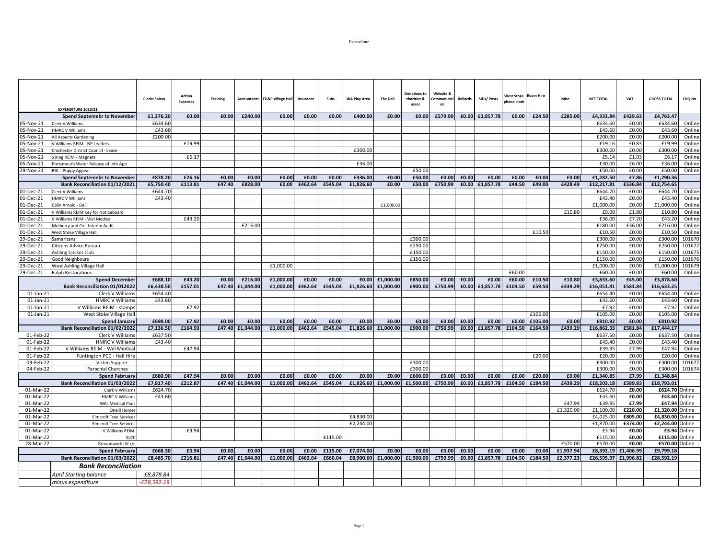|              | <b>EXPENDITURE 2020/21</b>            | <b>Clerks Salary</b> | Admir<br><b>Expenses</b> | <b>Training</b> | <b>Accountants</b> | <b>FD&amp;P Village Hall</b> | Insurance | Subs    | WA Play Area | <b>The Dell</b> | <b>Donations to</b><br>charities &<br>assoc | Website &<br>`ommunicat<br>on | <b>Bollards</b> | SIDs/ Posts     | West Stoke<br>hone kiosk | <b>Room Hire</b> | Misc      | <b>NET TOTAL</b> | <b>VAT</b> | <b>GROSS TOTAL</b> | <b>CHQ No</b> |
|--------------|---------------------------------------|----------------------|--------------------------|-----------------|--------------------|------------------------------|-----------|---------|--------------|-----------------|---------------------------------------------|-------------------------------|-----------------|-----------------|--------------------------|------------------|-----------|------------------|------------|--------------------|---------------|
|              | <b>Spend Septemebr to November</b>    | £1,376.20            | £0.00                    | £0.00           | £240.00            | £0.00                        | £0.00     | £0.00   | £400.00      | £0.00           | £0.00                                       | £579.99                       |                 | £0.00 £1,857.78 | £0.00                    | £24.50           | £285.00   | £4,333.84        | £429.63    | £4,763.47          |               |
| 05-Nov-21    | Clerk V Williams                      | £634.60              |                          |                 |                    |                              |           |         |              |                 |                                             |                               |                 |                 |                          |                  |           | £634.60          | £0.00      | £634.60            | Online        |
| 05-Nov-21    | <b>HMRC V Williams</b>                | £43.60               |                          |                 |                    |                              |           |         |              |                 |                                             |                               |                 |                 |                          |                  |           | £43.60           | £0.00      | £43.60             | Online        |
| 05-Nov-21    | All Aspects Gardening                 | £200.00              |                          |                 |                    |                              |           |         |              |                 |                                             |                               |                 |                 |                          |                  |           | £200.00          | £0.00      | £200.00            | Online        |
| 05-Nov-21    | V Williams REIM - NP Leaflets         |                      | £19.99                   |                 |                    |                              |           |         |              |                 |                                             |                               |                 |                 |                          |                  |           | £19.16           | £0.83      | £19.99             | Online        |
| 05-Nov-21    | Chichester District Council - Lease   |                      |                          |                 |                    |                              |           |         | £300.0       |                 |                                             |                               |                 |                 |                          |                  |           | £300.00          | £0.00      | £300.00            | Online        |
| 05-Nov-21    | S King REIM - Magnets                 |                      | £6.17                    |                 |                    |                              |           |         |              |                 |                                             |                               |                 |                 |                          |                  |           | £5.14            | £1.03      | £6.17              | Online        |
| 05-Nov-21    | Portsmouth Water Release of Info App  |                      |                          |                 |                    |                              |           |         | £36.00       |                 |                                             |                               |                 |                 |                          |                  |           | £30.00           | £6.00      | £36.00             | Online        |
| 29-Nov-21    | RBL - Poppy Appeal                    |                      |                          |                 |                    |                              |           |         |              |                 | £50.00                                      |                               |                 |                 |                          |                  |           | £50.00           | £0.00      | £50.00             | Online        |
|              | <b>Spend Septemebr to November</b>    | £878.20              | £26.16                   | £0.00           | £0.00              | £0.00                        | £0.00     | £0.00   | £336.00      | £0.00           | £50.00                                      | £0.00                         | £0.00           | £0.00           | £0.00                    | £0.00            | £0.00     | £1.282.50        | £7.86      | £1.290.36          |               |
|              | Bank Reconciliation 01/12/2021        | £5,750.40            | £113.81                  | £47.40          | £828.00            | £0.00                        | £462.64   | £545.04 | £1,826.60    | £0.00           | £50.00                                      | £750.99                       |                 | £0.00 £1,857.78 | £44.50                   | £49.00           | £428.49   | £12,217.81       | £536.84    | £12.754.65         |               |
| 01-Dec-21    | Clerk V Williams                      | £644.70              |                          |                 |                    |                              |           |         |              |                 |                                             |                               |                 |                 |                          |                  |           | £644.70          | £0.00      | £644.70            | Online        |
| 01-Dec-21    | <b>HMRC V Williams</b>                | £43.40               |                          |                 |                    |                              |           |         |              |                 |                                             |                               |                 |                 |                          |                  |           | £43.40           | £0.00      | £43.40             | Online        |
| 01-Dec-21    | Colin Arnold - Dell                   |                      |                          |                 |                    |                              |           |         |              | £1,000.00       |                                             |                               |                 |                 |                          |                  |           | £1,000.00        | £0.00      | £1,000.00          | Online        |
| 01-Dec-21    | V Williams REIM Key for Noticeboard   |                      |                          |                 |                    |                              |           |         |              |                 |                                             |                               |                 |                 |                          |                  | £10.80    | £9.00            | £1.80      | £10.80             | Online        |
| 01-Dec-21    | V Williams REIM - Wel Medical         |                      | £43.20                   |                 |                    |                              |           |         |              |                 |                                             |                               |                 |                 |                          |                  |           | £36.00           | £7.20      | £43.20             | Online        |
| 01-Dec-21    | Mulberry and Co - Interim Audit       |                      |                          |                 | £216.00            |                              |           |         |              |                 |                                             |                               |                 |                 |                          |                  |           | £180.00          | £36.00     | £216.00            | Online        |
| 01-Dec-21    | West Stoke Village Hall               |                      |                          |                 |                    |                              |           |         |              |                 |                                             |                               |                 |                 |                          | £10.50           |           | £10.50           | £0.00      | £10.50             | Online        |
| 29-Dec-21    | Samaritans                            |                      |                          |                 |                    |                              |           |         |              |                 | £300.00                                     |                               |                 |                 |                          |                  |           | £300.00          | £0.00      | £300.00            | 101670        |
| 29-Dec-21    | Citizens Advice Bureau                |                      |                          |                 |                    |                              |           |         |              |                 | £250.00                                     |                               |                 |                 |                          |                  |           | £250.00          | £0.00      | £250.00            | 101672        |
| 29-Dec-21    | Ashling Cricket Club                  |                      |                          |                 |                    |                              |           |         |              |                 | £150.00                                     |                               |                 |                 |                          |                  |           | £150.00          | £0.00      | £150.00            | 101675        |
| 29-Dec-21    | Good Neighbours                       |                      |                          |                 |                    |                              |           |         |              |                 | £150.00                                     |                               |                 |                 |                          |                  |           | £150.00          | £0.00      | £150.00            | 101676        |
| 29-Dec-21    | West Ashling Village Hall             |                      |                          |                 |                    | £1,000.00                    |           |         |              |                 |                                             |                               |                 |                 |                          |                  |           | £1,000.00        | £0.00      | £1,000.00          | 101679        |
| 29-Dec-21    | <b>Ralph Restorations</b>             |                      |                          |                 |                    |                              |           |         |              |                 |                                             |                               |                 |                 | £60.00                   |                  |           | £60.00           | £0.00      | £60.00             | Online        |
|              | <b>Spend December</b>                 | £688.10              | £43.20                   | £0.00           | £216.00            | £1.000.00                    | £0.00     | £0.00   | £0.00        | £1,000.00       | £850.00                                     | £0.00                         | £0.00           | £0.00           | £60.00                   | £10.50           | £10.80    | £3,833.60        | £45.00     | £3,878.60          |               |
|              | <b>Bank Reconciliation 01/012022</b>  | £6.438.50            | £157.01                  | £47.40          | £1.044.00          | £1.000.00                    | £462.64   | £545.04 | £1.826.60    | £1,000.00       | £900.00                                     | £750.99                       | £0.00           | £1.857.78       | £104.50                  | £59.50           | £439.29   | £16,051.41       | £581.84    | £16,633.25         |               |
| $01$ -Jan-21 | Clerk V Williams                      | £654.40              |                          |                 |                    |                              |           |         |              |                 |                                             |                               |                 |                 |                          |                  |           | £654.40          | £0.00      | £654.40            | Online        |
| $01$ -Jan-21 | <b>HMRC V Williams</b>                | £43.60               |                          |                 |                    |                              |           |         |              |                 |                                             |                               |                 |                 |                          |                  |           | £43.60           | £0.00      | £43.60             | Online        |
| $01$ -Jan-21 | V Williams REIM - stamps              |                      | £7.92                    |                 |                    |                              |           |         |              |                 |                                             |                               |                 |                 |                          |                  |           | £7.92            | £0.00      | £7.92              | Online        |
| $01$ -Jan-21 | West Stoke Village Hall               |                      |                          |                 |                    |                              |           |         |              |                 |                                             |                               |                 |                 |                          | £105.00          |           | £105.00          | £0.00      | £105.00            | Online        |
|              | Spend January                         | £698.00              | £7.92                    | £0.00           | £0.00              | £0.00                        | £0.00     | £0.00   | £0.00        | £0.00           | £0.00                                       | £0.00                         | £0.00           | £0.00           | £0.00                    | £105.00          | £0.00     | £810.92          | £0.00      | £810.92            |               |
|              | Bank Reconciliation 01/02/2022        | £7,136.50            | £164.93                  |                 | £47.40 £1.044.00   | £1.000.00                    | £462.64   | £545.04 | £1.826.60    | £1,000.00       | £900.00                                     | £750.99                       | £0.00           | £1,857.78       | £104.50                  | £164.50          | £439.29   | £16,862.33       | £581.84    | £17.444.17         |               |
| 01-Feb-22    | Clerk V Williams                      | £637.50              |                          |                 |                    |                              |           |         |              |                 |                                             |                               |                 |                 |                          |                  |           | £637.50          | £0.00      | £637.50            | Online        |
| 01-Feb-22    | <b>HMRC V Williams</b>                | £43.40               |                          |                 |                    |                              |           |         |              |                 |                                             |                               |                 |                 |                          |                  |           | £43.40           | £0.00      | £43.40             | Online        |
| 01-Feb-22    | V Williams REIM - Wel Medical         |                      | £47.94                   |                 |                    |                              |           |         |              |                 |                                             |                               |                 |                 |                          |                  |           | £39.95           | £7.99      | £47.94             | Online        |
| 01-Feb-22    | Funtington PCC - Hall Hire            |                      |                          |                 |                    |                              |           |         |              |                 |                                             |                               |                 |                 |                          | £20.00           |           | £20.00           | £0.00      | £20.00             | Online        |
| 09-Feb-22    | Victim Support                        |                      |                          |                 |                    |                              |           |         |              |                 | £300.00                                     |                               |                 |                 |                          |                  |           | £300.00          | £0.00      | £300.00            | 101677        |
| 04-Feb-22    | Parochial Churches                    |                      |                          |                 |                    |                              |           |         |              |                 | £300.00                                     |                               |                 |                 |                          |                  |           | £300.00          | £0.00      | £300.00            | 101674        |
|              | <b>Spend February</b>                 | £680.90              | £47.94                   | £0.00           | £0.00              | £0.00                        | £0.00     | £0.00   | £0.00        | £0.00           | £600.00                                     | £0.00                         | £0.00           | £0.00           | £0.00                    | £20.00           | £0.00     | £1,340.85        | £7.99      | £1,348.84          |               |
|              | Bank Reconciliation 01/03/2022        | £7,817.40            | £212.87                  |                 | £47.40 £1,044.00   | £1,000.00                    | £462.64   | £545.04 | £1,826.60    | £1,000.00       | £1,500.00                                   | £750.99                       | £0.00           | £1,857.78       | £104.50                  | £184.50          | £439.29   | £18,203.18       | £589.83    | £18,793.01         |               |
| 01-Mar-22    | Clerk V Williams                      | £624.70              |                          |                 |                    |                              |           |         |              |                 |                                             |                               |                 |                 |                          |                  |           | £624.70          | £0.00      | £624.70 Online     |               |
| 01-Mar-22    | <b>HMRC V Williams</b>                | £43.60               |                          |                 |                    |                              |           |         |              |                 |                                             |                               |                 |                 |                          |                  |           | £43.60           | £0.00      |                    | £43.60 Online |
| 01-Mar-22    | <b>WEL Medical Pads</b>               |                      |                          |                 |                    |                              |           |         |              |                 |                                             |                               |                 |                 |                          |                  | £47.94    | £39.95           | £7.99      |                    | £47.94 Online |
| 01-Mar-22    | Oneill Homer                          |                      |                          |                 |                    |                              |           |         |              |                 |                                             |                               |                 |                 |                          |                  | £1,320.00 | £1,100.00        | £220.00    | £1,320.00 Online   |               |
| 01-Mar-22    | <b>Elmcroft Tree Services</b>         |                      |                          |                 |                    |                              |           |         | £4,830.00    |                 |                                             |                               |                 |                 |                          |                  |           | £4,025.00        | £805.00    | £4,830.00 Online   |               |
| 01-Mar-22    | <b>Elmcroft Tree Services</b>         |                      |                          |                 |                    |                              |           |         | £2,244.00    |                 |                                             |                               |                 |                 |                          |                  |           | £1,870.00        | £374.00    | £2,244.00 Online   |               |
| 01-Mar-22    | V Williams REIM                       |                      | £3.94                    |                 |                    |                              |           |         |              |                 |                                             |                               |                 |                 |                          |                  |           | £3.94            | £0.00      |                    | £3.94 Online  |
| 01-Mar-22    | <b>SLCC</b>                           |                      |                          |                 |                    |                              |           | £115.00 |              |                 |                                             |                               |                 |                 |                          |                  |           | £115.00          | £0.00      | £115.00 Online     |               |
| 28-Mar-22    | Groundwork UK r/c                     |                      |                          |                 |                    |                              |           |         |              |                 |                                             |                               |                 |                 |                          |                  | £570.00   | £570.00          | £0.00      | £570.00 Online     |               |
|              | <b>Spend February</b>                 | £668.30              | £3.94                    | £0.00           | £0.00              | £0.00                        | £0.00     | £115.00 | £7,074.00    | £0.00           | £0.00                                       | £0.00                         | £0.00           | £0.00           | £0.00                    | £0.00            | £1,937.94 | £8,392.19        | £1,406.99  | £9,799.18          |               |
|              | <b>Bank Reconciliation 01/03/2022</b> | £8.485.70            | £216.81                  |                 | £47.40 £1.044.00   | £1,000.00                    | £462.64   | £660.04 | £8,900.60    | £1,000.00       | £1,500.00                                   | £750.99                       | £0.00           | £1,857.78       | £104.50                  | £184.50          | £2,377.23 | £26,595.37       | £1,996.82  | £28,592.19         |               |
|              | <b>Bank Reconciliation</b>            |                      |                          |                 |                    |                              |           |         |              |                 |                                             |                               |                 |                 |                          |                  |           |                  |            |                    |               |
|              | <b>April Starting balance</b>         | £8,878.84            |                          |                 |                    |                              |           |         |              |                 |                                             |                               |                 |                 |                          |                  |           |                  |            |                    |               |
|              | minus expenditure                     | £28.592.19           |                          |                 |                    |                              |           |         |              |                 |                                             |                               |                 |                 |                          |                  |           |                  |            |                    |               |
|              |                                       |                      |                          |                 |                    |                              |           |         |              |                 |                                             |                               |                 |                 |                          |                  |           |                  |            |                    |               |

Page 2